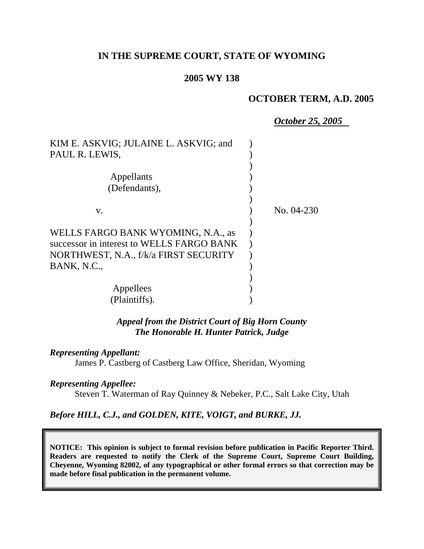## **IN THE SUPREME COURT, STATE OF WYOMING**

## **2005 WY 138**

## **OCTOBER TERM, A.D. 2005**

*October 25, 2005*

| KIM E. ASKVIG; JULAINE L. ASKVIG; and     |              |
|-------------------------------------------|--------------|
| PAUL R. LEWIS,                            |              |
|                                           |              |
| Appellants                                |              |
| (Defendants),                             |              |
|                                           |              |
| V.                                        | No. $04-230$ |
|                                           |              |
| WELLS FARGO BANK WYOMING, N.A., as        |              |
| successor in interest to WELLS FARGO BANK |              |
| NORTHWEST, N.A., f/k/a FIRST SECURITY     |              |
| BANK, N.C.,                               |              |
|                                           |              |
| Appellees                                 |              |
| (Plaintiffs).                             |              |

*Appeal from the District Court of Big Horn County The Honorable H. Hunter Patrick, Judge* 

#### *Representing Appellant:*

James P. Castberg of Castberg Law Office, Sheridan, Wyoming

#### *Representing Appellee:*

Steven T. Waterman of Ray Quinney & Nebeker, P.C., Salt Lake City, Utah

## *Before HILL, C.J., and GOLDEN, KITE, VOIGT, and BURKE, JJ.*

**NOTICE: This opinion is subject to formal revision before publication in Pacific Reporter Third. Readers are requested to notify the Clerk of the Supreme Court, Supreme Court Building, Cheyenne, Wyoming 82002, of any typographical or other formal errors so that correction may be made before final publication in the permanent volume.**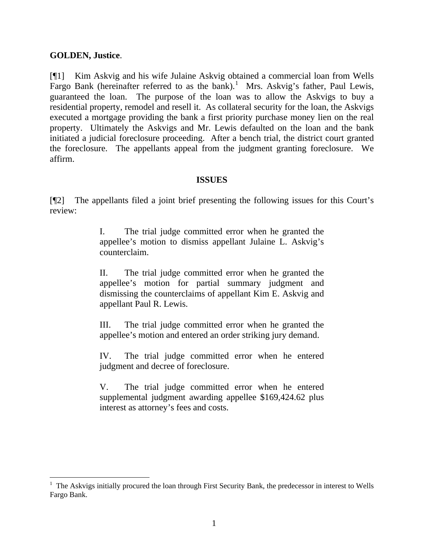## **GOLDEN, Justice**.

[¶1] Kim Askvig and his wife Julaine Askvig obtained a commercial loan from Wells Fargo Bank (hereinafter referred to as the bank).<sup>[1](#page-1-0)</sup> Mrs. Askvig's father, Paul Lewis, guaranteed the loan. The purpose of the loan was to allow the Askvigs to buy a residential property, remodel and resell it. As collateral security for the loan, the Askvigs executed a mortgage providing the bank a first priority purchase money lien on the real property. Ultimately the Askvigs and Mr. Lewis defaulted on the loan and the bank initiated a judicial foreclosure proceeding. After a bench trial, the district court granted the foreclosure. The appellants appeal from the judgment granting foreclosure. We affirm.

## **ISSUES**

[¶2] The appellants filed a joint brief presenting the following issues for this Court's review:

> I. The trial judge committed error when he granted the appellee's motion to dismiss appellant Julaine L. Askvig's counterclaim.

> II. The trial judge committed error when he granted the appellee's motion for partial summary judgment and dismissing the counterclaims of appellant Kim E. Askvig and appellant Paul R. Lewis.

> III. The trial judge committed error when he granted the appellee's motion and entered an order striking jury demand.

> IV. The trial judge committed error when he entered judgment and decree of foreclosure.

> V. The trial judge committed error when he entered supplemental judgment awarding appellee \$169,424.62 plus interest as attorney's fees and costs.

<span id="page-1-0"></span><sup>&</sup>lt;sup>1</sup> The Askvigs initially procured the loan through First Security Bank, the predecessor in interest to Wells Fargo Bank.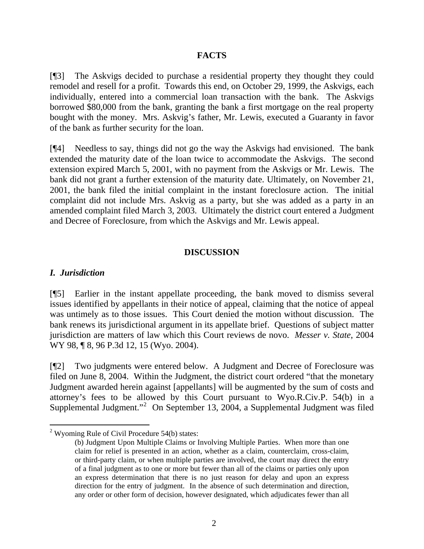## **FACTS**

[¶3] The Askvigs decided to purchase a residential property they thought they could remodel and resell for a profit. Towards this end, on October 29, 1999, the Askvigs, each individually, entered into a commercial loan transaction with the bank. The Askvigs borrowed \$80,000 from the bank, granting the bank a first mortgage on the real property bought with the money. Mrs. Askvig's father, Mr. Lewis, executed a Guaranty in favor of the bank as further security for the loan.

[¶4] Needless to say, things did not go the way the Askvigs had envisioned. The bank extended the maturity date of the loan twice to accommodate the Askvigs. The second extension expired March 5, 2001, with no payment from the Askvigs or Mr. Lewis. The bank did not grant a further extension of the maturity date. Ultimately, on November 21, 2001, the bank filed the initial complaint in the instant foreclosure action. The initial complaint did not include Mrs. Askvig as a party, but she was added as a party in an amended complaint filed March 3, 2003. Ultimately the district court entered a Judgment and Decree of Foreclosure, from which the Askvigs and Mr. Lewis appeal.

#### **DISCUSSION**

#### *I. Jurisdiction*

 $\overline{a}$ 

[¶5] Earlier in the instant appellate proceeding, the bank moved to dismiss several issues identified by appellants in their notice of appeal, claiming that the notice of appeal was untimely as to those issues. This Court denied the motion without discussion. The bank renews its jurisdictional argument in its appellate brief. Questions of subject matter jurisdiction are matters of law which this Court reviews de novo. *Messer v. State*, 2004 WY 98, 18, 96 P.3d 12, 15 (Wyo. 2004).

[¶2] Two judgments were entered below. A Judgment and Decree of Foreclosure was filed on June 8, 2004. Within the Judgment, the district court ordered "that the monetary Judgment awarded herein against [appellants] will be augmented by the sum of costs and attorney's fees to be allowed by this Court pursuant to Wyo.R.Civ.P. 54(b) in a Supplemental Judgment."<sup>[2](#page-2-0)</sup> On September 13, 2004, a Supplemental Judgment was filed

<span id="page-2-0"></span> $2$  Wyoming Rule of Civil Procedure 54(b) states:

<sup>(</sup>b) Judgment Upon Multiple Claims or Involving Multiple Parties. When more than one claim for relief is presented in an action, whether as a claim, counterclaim, cross-claim, or third-party claim, or when multiple parties are involved, the court may direct the entry of a final judgment as to one or more but fewer than all of the claims or parties only upon an express determination that there is no just reason for delay and upon an express direction for the entry of judgment. In the absence of such determination and direction, any order or other form of decision, however designated, which adjudicates fewer than all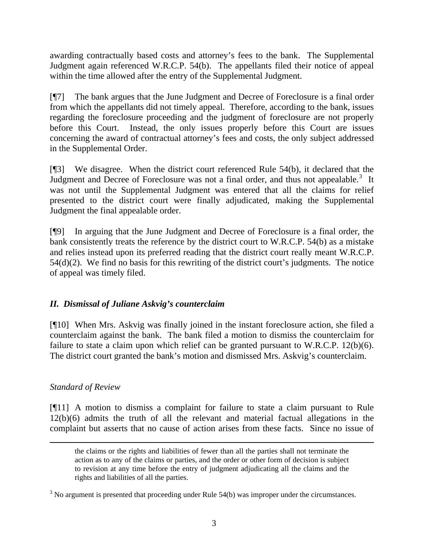awarding contractually based costs and attorney's fees to the bank. The Supplemental Judgment again referenced W.R.C.P. 54(b). The appellants filed their notice of appeal within the time allowed after the entry of the Supplemental Judgment.

[¶7] The bank argues that the June Judgment and Decree of Foreclosure is a final order from which the appellants did not timely appeal. Therefore, according to the bank, issues regarding the foreclosure proceeding and the judgment of foreclosure are not properly before this Court. Instead, the only issues properly before this Court are issues concerning the award of contractual attorney's fees and costs, the only subject addressed in the Supplemental Order.

[¶3] We disagree. When the district court referenced Rule 54(b), it declared that the Judgment and Decree of Foreclosure was not a final order, and thus not appealable.<sup>[3](#page-3-0)</sup> It was not until the Supplemental Judgment was entered that all the claims for relief presented to the district court were finally adjudicated, making the Supplemental Judgment the final appealable order.

[¶9] In arguing that the June Judgment and Decree of Foreclosure is a final order, the bank consistently treats the reference by the district court to W.R.C.P. 54(b) as a mistake and relies instead upon its preferred reading that the district court really meant W.R.C.P. 54(d)(2). We find no basis for this rewriting of the district court's judgments. The notice of appeal was timely filed.

# *II. Dismissal of Juliane Askvig's counterclaim*

[¶10] When Mrs. Askvig was finally joined in the instant foreclosure action, she filed a counterclaim against the bank. The bank filed a motion to dismiss the counterclaim for failure to state a claim upon which relief can be granted pursuant to W.R.C.P. 12(b)(6). The district court granted the bank's motion and dismissed Mrs. Askvig's counterclaim.

# *Standard of Review*

[¶11] A motion to dismiss a complaint for failure to state a claim pursuant to Rule 12(b)(6) admits the truth of all the relevant and material factual allegations in the complaint but asserts that no cause of action arises from these facts. Since no issue of

the claims or the rights and liabilities of fewer than all the parties shall not terminate the action as to any of the claims or parties, and the order or other form of decision is subject to revision at any time before the entry of judgment adjudicating all the claims and the rights and liabilities of all the parties.

<span id="page-3-0"></span> $3$  No argument is presented that proceeding under Rule 54(b) was improper under the circumstances.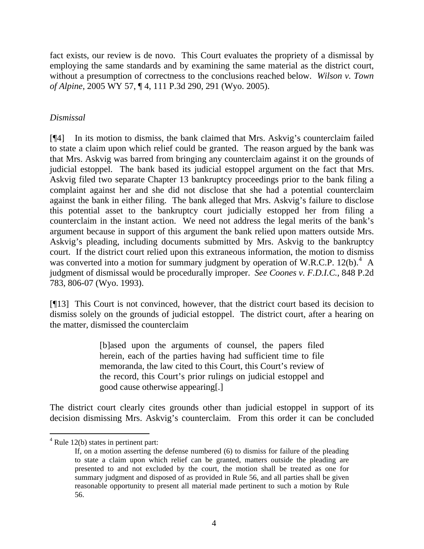fact exists, our review is de novo. This Court evaluates the propriety of a dismissal by employing the same standards and by examining the same material as the district court, without a presumption of correctness to the conclusions reached below. *Wilson v. Town of Alpine*, 2005 WY 57, ¶ 4, 111 P.3d 290, 291 (Wyo. 2005).

# *Dismissal*

[¶4] In its motion to dismiss, the bank claimed that Mrs. Askvig's counterclaim failed to state a claim upon which relief could be granted. The reason argued by the bank was that Mrs. Askvig was barred from bringing any counterclaim against it on the grounds of judicial estoppel. The bank based its judicial estoppel argument on the fact that Mrs. Askvig filed two separate Chapter 13 bankruptcy proceedings prior to the bank filing a complaint against her and she did not disclose that she had a potential counterclaim against the bank in either filing. The bank alleged that Mrs. Askvig's failure to disclose this potential asset to the bankruptcy court judicially estopped her from filing a counterclaim in the instant action. We need not address the legal merits of the bank's argument because in support of this argument the bank relied upon matters outside Mrs. Askvig's pleading, including documents submitted by Mrs. Askvig to the bankruptcy court. If the district court relied upon this extraneous information, the motion to dismiss was converted into a motion for summary judgment by operation of W.R.C.P. 12(b). $^{4}$  $^{4}$  $^{4}$  A judgment of dismissal would be procedurally improper. *See Coones v. F.D.I.C.*, 848 P.2d 783, 806-07 (Wyo. 1993).

[¶13] This Court is not convinced, however, that the district court based its decision to dismiss solely on the grounds of judicial estoppel. The district court, after a hearing on the matter, dismissed the counterclaim

> [b]ased upon the arguments of counsel, the papers filed herein, each of the parties having had sufficient time to file memoranda, the law cited to this Court, this Court's review of the record, this Court's prior rulings on judicial estoppel and good cause otherwise appearing[.]

The district court clearly cites grounds other than judicial estoppel in support of its decision dismissing Mrs. Askvig's counterclaim. From this order it can be concluded

<span id="page-4-0"></span> $4$  Rule 12(b) states in pertinent part:

If, on a motion asserting the defense numbered (6) to dismiss for failure of the pleading to state a claim upon which relief can be granted, matters outside the pleading are presented to and not excluded by the court, the motion shall be treated as one for summary judgment and disposed of as provided in Rule 56, and all parties shall be given reasonable opportunity to present all material made pertinent to such a motion by Rule 56.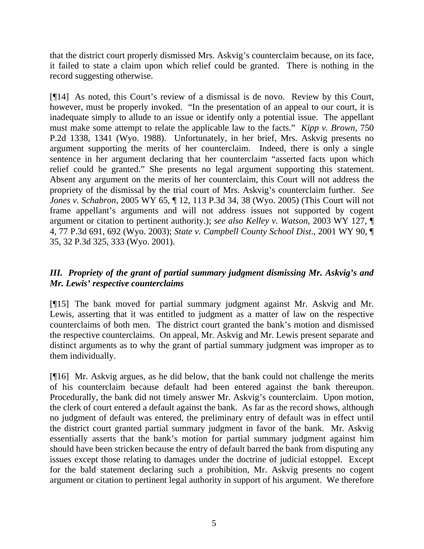that the district court properly dismissed Mrs. Askvig's counterclaim because, on its face, it failed to state a claim upon which relief could be granted. There is nothing in the record suggesting otherwise.

[¶14] As noted, this Court's review of a dismissal is de novo. Review by this Court, however, must be properly invoked. "In the presentation of an appeal to our court, it is inadequate simply to allude to an issue or identify only a potential issue. The appellant must make some attempt to relate the applicable law to the facts." *Kipp v. Brown*, 750 P.2d 1338, 1341 (Wyo. 1988). Unfortunately, in her brief, Mrs. Askvig presents no argument supporting the merits of her counterclaim. Indeed, there is only a single sentence in her argument declaring that her counterclaim "asserted facts upon which relief could be granted." She presents no legal argument supporting this statement. Absent any argument on the merits of her counterclaim, this Court will not address the propriety of the dismissal by the trial court of Mrs. Askvig's counterclaim further. *See Jones v. Schabron*, 2005 WY 65, ¶ 12, 113 P.3d 34, 38 (Wyo. 2005) (This Court will not frame appellant's arguments and will not address issues not supported by cogent argument or citation to pertinent authority.); *see also Kelley v. Watson*, 2003 WY 127, ¶ 4, 77 P.3d 691, 692 (Wyo. 2003); *State v. Campbell County School Dist*., 2001 WY 90, ¶ 35, 32 P.3d 325, 333 (Wyo. 2001).

# *III. Propriety of the grant of partial summary judgment dismissing Mr. Askvig's and Mr. Lewis' respective counterclaims*

[¶15] The bank moved for partial summary judgment against Mr. Askvig and Mr. Lewis, asserting that it was entitled to judgment as a matter of law on the respective counterclaims of both men. The district court granted the bank's motion and dismissed the respective counterclaims. On appeal, Mr. Askvig and Mr. Lewis present separate and distinct arguments as to why the grant of partial summary judgment was improper as to them individually.

[¶16] Mr. Askvig argues, as he did below, that the bank could not challenge the merits of his counterclaim because default had been entered against the bank thereupon. Procedurally, the bank did not timely answer Mr. Askvig's counterclaim. Upon motion, the clerk of court entered a default against the bank. As far as the record shows, although no judgment of default was entered, the preliminary entry of default was in effect until the district court granted partial summary judgment in favor of the bank. Mr. Askvig essentially asserts that the bank's motion for partial summary judgment against him should have been stricken because the entry of default barred the bank from disputing any issues except those relating to damages under the doctrine of judicial estoppel. Except for the bald statement declaring such a prohibition, Mr. Askvig presents no cogent argument or citation to pertinent legal authority in support of his argument. We therefore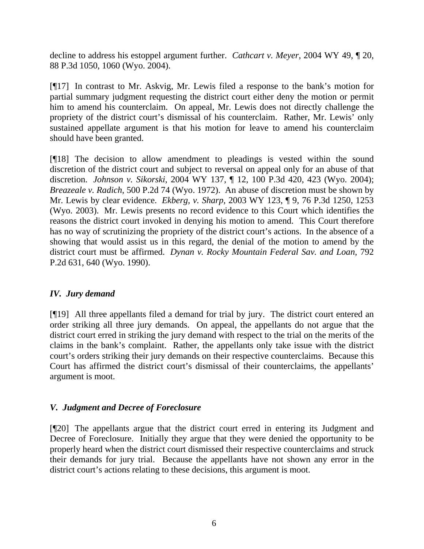decline to address his estoppel argument further. *Cathcart v. Meyer*, 2004 WY 49, ¶ 20, 88 P.3d 1050, 1060 (Wyo. 2004).

[¶17] In contrast to Mr. Askvig, Mr. Lewis filed a response to the bank's motion for partial summary judgment requesting the district court either deny the motion or permit him to amend his counterclaim. On appeal, Mr. Lewis does not directly challenge the propriety of the district court's dismissal of his counterclaim. Rather, Mr. Lewis' only sustained appellate argument is that his motion for leave to amend his counterclaim should have been granted.

[¶18] The decision to allow amendment to pleadings is vested within the sound discretion of the district court and subject to reversal on appeal only for an abuse of that discretion. *Johnson v. Sikorski*, 2004 WY 137, ¶ 12, 100 P.3d 420, 423 (Wyo. 2004); *Breazeale v. Radich*, 500 P.2d 74 (Wyo. 1972). An abuse of discretion must be shown by Mr. Lewis by clear evidence. *Ekberg, v. Sharp*, 2003 WY 123, ¶ 9, 76 P.3d 1250, 1253 (Wyo. 2003). Mr. Lewis presents no record evidence to this Court which identifies the reasons the district court invoked in denying his motion to amend. This Court therefore has no way of scrutinizing the propriety of the district court's actions. In the absence of a showing that would assist us in this regard, the denial of the motion to amend by the district court must be affirmed. *Dynan v. Rocky Mountain Federal Sav. and Loan*, 792 P.2d 631, 640 (Wyo. 1990).

# *IV. Jury demand*

[¶19] All three appellants filed a demand for trial by jury. The district court entered an order striking all three jury demands. On appeal, the appellants do not argue that the district court erred in striking the jury demand with respect to the trial on the merits of the claims in the bank's complaint. Rather, the appellants only take issue with the district court's orders striking their jury demands on their respective counterclaims. Because this Court has affirmed the district court's dismissal of their counterclaims, the appellants' argument is moot.

# *V. Judgment and Decree of Foreclosure*

[¶20] The appellants argue that the district court erred in entering its Judgment and Decree of Foreclosure. Initially they argue that they were denied the opportunity to be properly heard when the district court dismissed their respective counterclaims and struck their demands for jury trial. Because the appellants have not shown any error in the district court's actions relating to these decisions, this argument is moot.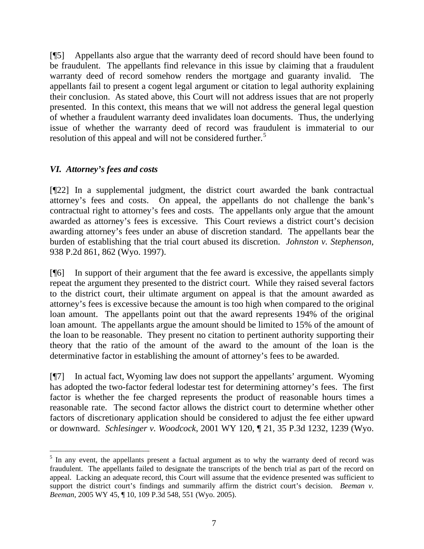[¶5] Appellants also argue that the warranty deed of record should have been found to be fraudulent. The appellants find relevance in this issue by claiming that a fraudulent warranty deed of record somehow renders the mortgage and guaranty invalid. The appellants fail to present a cogent legal argument or citation to legal authority explaining their conclusion. As stated above, this Court will not address issues that are not properly presented. In this context, this means that we will not address the general legal question of whether a fraudulent warranty deed invalidates loan documents. Thus, the underlying issue of whether the warranty deed of record was fraudulent is immaterial to our resolution of this appeal and will not be considered further.<sup>[5](#page-7-0)</sup>

# *VI. Attorney's fees and costs*

[¶22] In a supplemental judgment, the district court awarded the bank contractual attorney's fees and costs. On appeal, the appellants do not challenge the bank's contractual right to attorney's fees and costs. The appellants only argue that the amount awarded as attorney's fees is excessive. This Court reviews a district court's decision awarding attorney's fees under an abuse of discretion standard. The appellants bear the burden of establishing that the trial court abused its discretion. *Johnston v. Stephenson*, 938 P.2d 861, 862 (Wyo. 1997).

[¶6] In support of their argument that the fee award is excessive, the appellants simply repeat the argument they presented to the district court. While they raised several factors to the district court, their ultimate argument on appeal is that the amount awarded as attorney's fees is excessive because the amount is too high when compared to the original loan amount. The appellants point out that the award represents 194% of the original loan amount. The appellants argue the amount should be limited to 15% of the amount of the loan to be reasonable. They present no citation to pertinent authority supporting their theory that the ratio of the amount of the award to the amount of the loan is the determinative factor in establishing the amount of attorney's fees to be awarded.

[¶7] In actual fact, Wyoming law does not support the appellants' argument. Wyoming has adopted the two-factor federal lodestar test for determining attorney's fees. The first factor is whether the fee charged represents the product of reasonable hours times a reasonable rate. The second factor allows the district court to determine whether other factors of discretionary application should be considered to adjust the fee either upward or downward. *Schlesinger v. Woodcock*, 2001 WY 120, ¶ 21, 35 P.3d 1232, 1239 (Wyo.

<span id="page-7-0"></span> $\overline{a}$ <sup>5</sup> In any event, the appellants present a factual argument as to why the warranty deed of record was fraudulent. The appellants failed to designate the transcripts of the bench trial as part of the record on appeal. Lacking an adequate record, this Court will assume that the evidence presented was sufficient to support the district court's findings and summarily affirm the district court's decision. *Beeman v. Beeman*, 2005 WY 45, ¶ 10, 109 P.3d 548, 551 (Wyo. 2005).